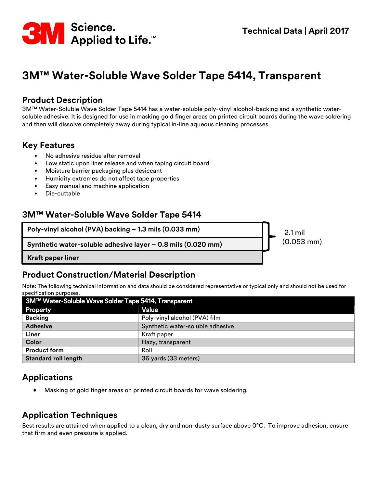

# **3M™ Water-Soluble Wave Solder Tape 5414, Transparent**

#### **Product Description**

3M™ Water-Soluble Wave Solder Tape 5414 has a water-soluble poly-vinyl alcohol-backing and a synthetic watersoluble adhesive. It is designed for use in masking gold finger areas on printed circuit boards during the wave soldering and then will dissolve completely away during typical in-line aqueous cleaning processes.

#### **Key Features**

- No adhesive residue after removal
- Low static upon liner release and when taping circuit board
- Moisture barrier packaging plus desiccant
- Humidity extremes do not affect tape properties
- Easy manual and machine application
- Die-cuttable

#### **3M™ Water-Soluble Wave Solder Tape 5414**

**Poly-vinyl alcohol (PVA) backing – 1.3 mils (0.033 mm)**

**Synthetic water-soluble adhesive layer – 0.8 mils (0.020 mm)**

2.1 mil (0.053 mm)

**Kraft paper liner**

#### **Product Construction/Material Description**

Note: The following technical information and data should be considered representative or typical only and should not be used for specification purposes.

| 3M™ Water-Soluble Wave Solder Tape 5414, Transparent |                                  |  |
|------------------------------------------------------|----------------------------------|--|
| Property                                             | <b>Value</b>                     |  |
| <b>Backing</b>                                       | Poly-vinyl alcohol (PVA) film    |  |
| <b>Adhesive</b>                                      | Synthetic water-soluble adhesive |  |
| Liner                                                | Kraft paper                      |  |
| Color                                                | Hazy, transparent                |  |
| <b>Product form</b>                                  | Roll                             |  |
| <b>Standard roll length</b>                          | 36 yards (33 meters)             |  |

### **Applications**

• Masking of gold finger areas on printed circuit boards for wave soldering.

#### **Application Techniques**

Best results are attained when applied to a clean, dry and non-dusty surface above 0°C. To improve adhesion, ensure that firm and even pressure is applied.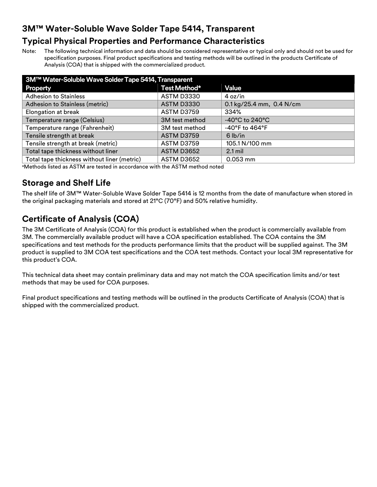# **3M™ Water-Soluble Wave Solder Tape 5414, Transparent**

## **Typical Physical Properties and Performance Characteristics**

Note: The following technical information and data should be considered representative or typical only and should not be used for specification purposes. Final product specifications and testing methods will be outlined in the products Certificate of Analysis (COA) that is shipped with the commercialized product.

| 3M™ Water-Soluble Wave Solder Tape 5414, Transparent |                   |                                     |  |
|------------------------------------------------------|-------------------|-------------------------------------|--|
| Property                                             | Test Method*      | <b>Value</b>                        |  |
| <b>Adhesion to Stainless</b>                         | ASTM D3330        | 4 oz/in                             |  |
| Adhesion to Stainless (metric)                       | <b>ASTM D3330</b> | 0.1 kg/25.4 mm, 0.4 N/cm            |  |
| Elongation at break                                  | ASTM D3759        | 334%                                |  |
| Temperature range (Celsius)                          | 3M test method    | $-40^{\circ}$ C to 240 $^{\circ}$ C |  |
| Temperature range (Fahrenheit)                       | 3M test method    | $-40^{\circ}$ F to $464^{\circ}$ F  |  |
| Tensile strength at break                            | <b>ASTM D3759</b> | $6$ lb/in                           |  |
| Tensile strength at break (metric)                   | ASTM D3759        | 105.1 N/100 mm                      |  |
| Total tape thickness without liner                   | ASTM D3652        | $2.1$ mil                           |  |
| Total tape thickness without liner (metric)          | ASTM D3652        | $0.053$ mm                          |  |

<sup>a</sup>Methods listed as ASTM are tested in accordance with the ASTM method noted

## **Storage and Shelf Life**

The shelf life of 3M™ Water-Soluble Wave Solder Tape 5414 is 12 months from the date of manufacture when stored in the original packaging materials and stored at 21°C (70°F) and 50% relative humidity.

# **Certificate of Analysis (COA)**

The 3M Certificate of Analysis (COA) for this product is established when the product is commercially available from 3M. The commercially available product will have a COA specification established. The COA contains the 3M specifications and test methods for the products performance limits that the product will be supplied against. The 3M product is supplied to 3M COA test specifications and the COA test methods. Contact your local 3M representative for this product's COA.

This technical data sheet may contain preliminary data and may not match the COA specification limits and/or test methods that may be used for COA purposes.

Final product specifications and testing methods will be outlined in the products Certificate of Analysis (COA) that is shipped with the commercialized product.